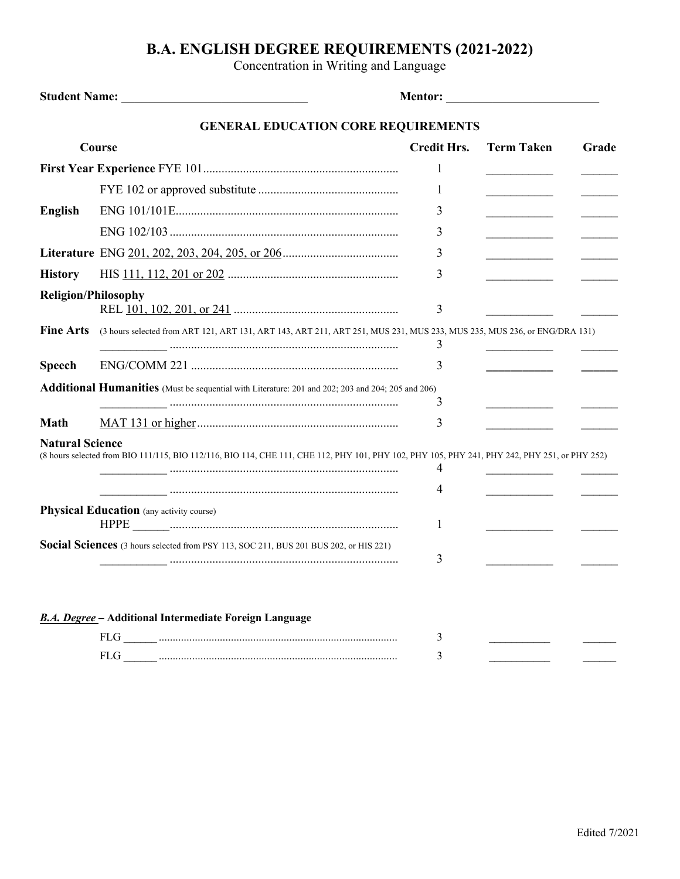## **B.A. ENGLISH DEGREE REQUIREMENTS (2021-2022)**

Concentration in Writing and Language

|                            | <b>GENERAL EDUCATION CORE REQUIREMENTS</b>                                                                                                    |                    |                   |       |
|----------------------------|-----------------------------------------------------------------------------------------------------------------------------------------------|--------------------|-------------------|-------|
| Course                     |                                                                                                                                               | <b>Credit Hrs.</b> | <b>Term Taken</b> | Grade |
|                            |                                                                                                                                               | 1                  |                   |       |
|                            |                                                                                                                                               | 1                  |                   |       |
| <b>English</b>             |                                                                                                                                               | 3                  |                   |       |
|                            |                                                                                                                                               | 3                  |                   |       |
|                            |                                                                                                                                               | 3                  |                   |       |
| <b>History</b>             |                                                                                                                                               | 3                  |                   |       |
| <b>Religion/Philosophy</b> |                                                                                                                                               | 3                  |                   |       |
| <b>Fine Arts</b>           | (3 hours selected from ART 121, ART 131, ART 143, ART 211, ART 251, MUS 231, MUS 233, MUS 235, MUS 236, or ENG/DRA 131)                       | 3                  |                   |       |
| <b>Speech</b>              |                                                                                                                                               | 3                  |                   |       |
|                            | Additional Humanities (Must be sequential with Literature: 201 and 202; 203 and 204; 205 and 206)                                             |                    |                   |       |
|                            |                                                                                                                                               | 3                  |                   |       |
| Math                       |                                                                                                                                               | 3                  |                   |       |
| <b>Natural Science</b>     | (8 hours selected from BIO 111/115, BIO 112/116, BIO 114, CHE 111, CHE 112, PHY 101, PHY 102, PHY 105, PHY 241, PHY 242, PHY 251, or PHY 252) | 4<br>4             |                   |       |
|                            | <b>Physical Education</b> (any activity course)                                                                                               |                    |                   |       |
|                            |                                                                                                                                               | 1                  |                   |       |
|                            | Social Sciences (3 hours selected from PSY 113, SOC 211, BUS 201 BUS 202, or HIS 221)                                                         | 3                  |                   |       |
|                            | <b>B.A. Degree - Additional Intermediate Foreign Language</b>                                                                                 |                    |                   |       |
|                            |                                                                                                                                               | 3                  |                   |       |
|                            | <b>FLG</b>                                                                                                                                    | 3                  |                   |       |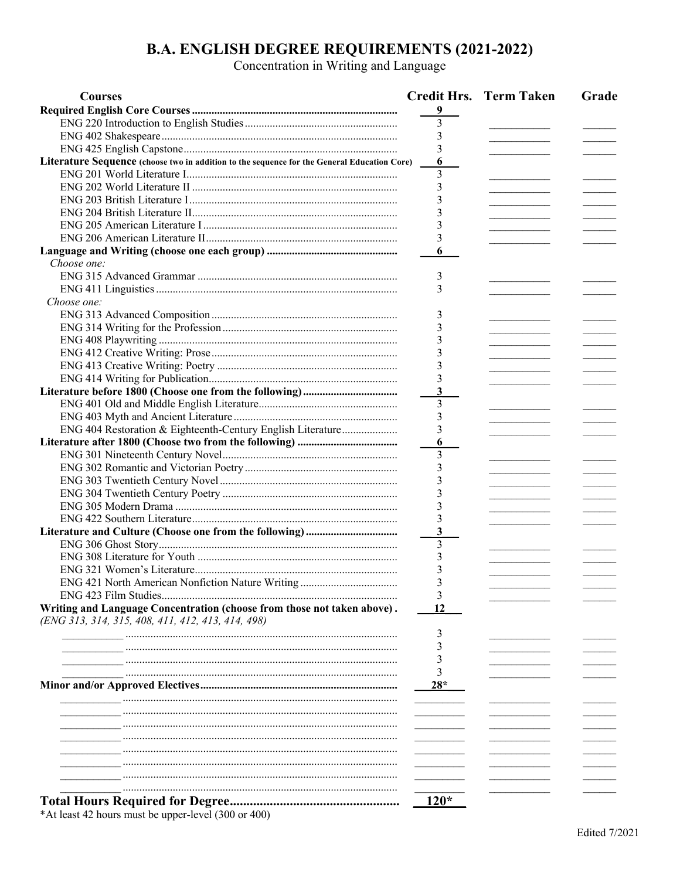## **B.A. ENGLISH DEGREE REQUIREMENTS (2021-2022)**<br>Concentration in Writing and Language

| <b>Courses</b>                                                                              |                | <b>Credit Hrs. Term Taken</b> | Grade |
|---------------------------------------------------------------------------------------------|----------------|-------------------------------|-------|
|                                                                                             | 9              |                               |       |
|                                                                                             | 3              |                               |       |
|                                                                                             | 3              |                               |       |
|                                                                                             |                |                               |       |
| Literature Sequence (choose two in addition to the sequence for the General Education Core) | 6              |                               |       |
|                                                                                             | 3              |                               |       |
|                                                                                             | 3              |                               |       |
|                                                                                             |                |                               |       |
|                                                                                             |                |                               |       |
|                                                                                             |                |                               |       |
|                                                                                             | 3              |                               |       |
|                                                                                             | 6              |                               |       |
| Choose one:                                                                                 |                |                               |       |
|                                                                                             | 3              |                               |       |
|                                                                                             | 3              |                               |       |
| Choose one:                                                                                 |                |                               |       |
|                                                                                             |                |                               |       |
|                                                                                             | 3              |                               |       |
|                                                                                             | 3              |                               |       |
|                                                                                             |                |                               |       |
|                                                                                             |                |                               |       |
|                                                                                             |                |                               |       |
|                                                                                             |                |                               |       |
|                                                                                             | 3              |                               |       |
|                                                                                             | $\overline{3}$ |                               |       |
|                                                                                             | 3              |                               |       |
| ENG 404 Restoration & Eighteenth-Century English Literature                                 | $\overline{3}$ |                               |       |
|                                                                                             | 6              |                               |       |
|                                                                                             | 3              |                               |       |
|                                                                                             | 3              |                               |       |
|                                                                                             | 3              |                               |       |
|                                                                                             |                |                               |       |
|                                                                                             |                |                               |       |
|                                                                                             | 3              |                               |       |
|                                                                                             | 3              |                               |       |
|                                                                                             | 3              |                               |       |
|                                                                                             | 3              |                               |       |
|                                                                                             |                |                               |       |
| ENG 421 North American Nonfiction Nature Writing                                            |                |                               |       |
|                                                                                             | 3              |                               |       |
| Writing and Language Concentration (choose from those not taken above).                     | 12             |                               |       |
| (ENG 313, 314, 315, 408, 411, 412, 413, 414, 498)                                           |                |                               |       |
|                                                                                             | 3              |                               |       |
|                                                                                             |                |                               |       |
|                                                                                             | 3              |                               |       |
|                                                                                             |                |                               |       |
|                                                                                             | $28*$          |                               |       |
|                                                                                             |                |                               |       |
|                                                                                             |                |                               |       |
|                                                                                             |                |                               |       |
|                                                                                             |                |                               |       |
|                                                                                             |                |                               |       |
|                                                                                             |                |                               |       |
|                                                                                             |                |                               |       |
|                                                                                             |                |                               |       |
|                                                                                             |                |                               |       |
|                                                                                             | $120*$         |                               |       |

\*At least 42 hours must be upper-level (300 or 400)